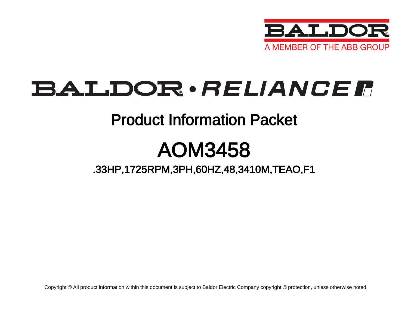

# BALDOR · RELIANCE F

## Product Information Packet

## AOM3458

## .33HP,1725RPM,3PH,60HZ,48,3410M,TEAO,F1

Copyright © All product information within this document is subject to Baldor Electric Company copyright © protection, unless otherwise noted.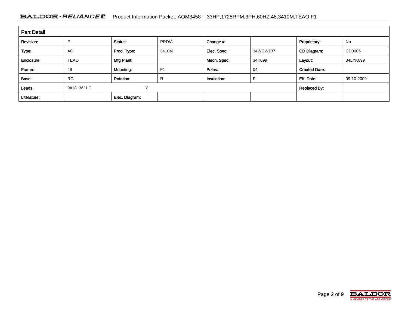### BALDOR · RELIANCE F Product Information Packet: AOM3458 - .33HP,1725RPM,3PH,60HZ,48,3410M,TEAO,F1

| <b>Part Detail</b> |             |                  |                |             |          |                      |            |  |  |
|--------------------|-------------|------------------|----------------|-------------|----------|----------------------|------------|--|--|
| Revision:          | D           | Status:          | PRD/A          | Change #:   |          | Proprietary:         | No         |  |  |
| Type:              | AC          | Prod. Type:      | 3410M          | Elec. Spec: | 34WGW137 | CD Diagram:          | CD0005     |  |  |
| Enclosure:         | <b>TEAO</b> | Mfg Plant:       |                | Mech. Spec: | 34K099   | Layout:              | 34LYK099   |  |  |
| Frame:             | 48          | Mounting:        | F <sub>1</sub> | Poles:      | 04       | <b>Created Date:</b> |            |  |  |
| Base:              | <b>RG</b>   | <b>Rotation:</b> | R              | Insulation: | ⊏        | Eff. Date:           | 09-10-2009 |  |  |
| Leads:             | 9#18 36" LG | $\checkmark$     |                |             |          | <b>Replaced By:</b>  |            |  |  |
| Literature:        |             | Elec. Diagram:   |                |             |          |                      |            |  |  |

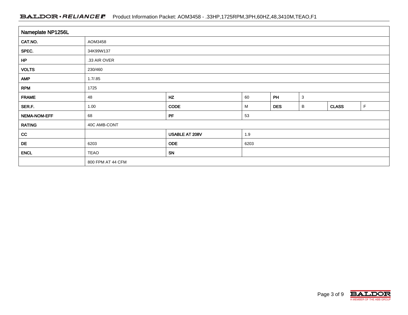### BALDOR · RELIANCE F Product Information Packet: AOM3458 - .33HP,1725RPM,3PH,60HZ,48,3410M,TEAO,F1

| Nameplate NP1256L |                           |                |                      |  |              |              |  |  |  |  |
|-------------------|---------------------------|----------------|----------------------|--|--------------|--------------|--|--|--|--|
| CAT.NO.           | AOM3458                   |                |                      |  |              |              |  |  |  |  |
| SPEC.             | 34K99W137                 |                |                      |  |              |              |  |  |  |  |
| HP                | .33 AIR OVER              |                |                      |  |              |              |  |  |  |  |
| <b>VOLTS</b>      | 230/460                   |                |                      |  |              |              |  |  |  |  |
| <b>AMP</b>        | 1.7/0.85                  |                |                      |  |              |              |  |  |  |  |
| <b>RPM</b>        | 1725                      |                |                      |  |              |              |  |  |  |  |
| <b>FRAME</b>      | HZ<br>PH<br>60<br>3<br>48 |                |                      |  |              |              |  |  |  |  |
| SER.F.            | 1.00                      | <b>CODE</b>    | <b>DES</b><br>В<br>M |  | <b>CLASS</b> | $\mathsf{F}$ |  |  |  |  |
| NEMA-NOM-EFF      | PF<br>68<br>53            |                |                      |  |              |              |  |  |  |  |
| <b>RATING</b>     | 40C AMB-CONT              |                |                      |  |              |              |  |  |  |  |
| cc                |                           | USABLE AT 208V | 1.9                  |  |              |              |  |  |  |  |
| DE                | 6203                      | <b>ODE</b>     | 6203                 |  |              |              |  |  |  |  |
| <b>ENCL</b>       | TEAO                      | SN             |                      |  |              |              |  |  |  |  |
|                   | 800 FPM AT 44 CFM         |                |                      |  |              |              |  |  |  |  |

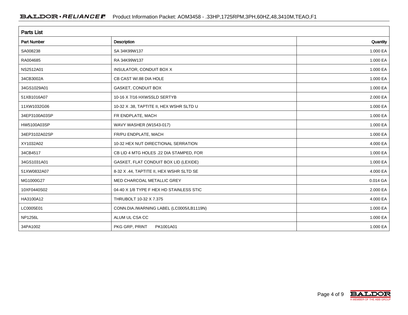| <b>Parts List</b>  |                                          |          |  |  |  |  |
|--------------------|------------------------------------------|----------|--|--|--|--|
| <b>Part Number</b> | <b>Description</b>                       |          |  |  |  |  |
| SA008238           | SA 34K99W137                             | 1.000 EA |  |  |  |  |
| RA004685           | RA 34K99W137                             | 1.000 EA |  |  |  |  |
| NS2512A01          | <b>INSULATOR, CONDUIT BOX X</b>          | 1.000 EA |  |  |  |  |
| 34CB3002A          | CB CAST W/.88 DIA HOLE                   | 1.000 EA |  |  |  |  |
| 34GS1029A01        | GASKET, CONDUIT BOX                      | 1.000 EA |  |  |  |  |
| 51XB1016A07        | 10-16 X 7/16 HXWSSLD SERTYB              | 2.000 EA |  |  |  |  |
| 11XW1032G06        | 10-32 X .38, TAPTITE II, HEX WSHR SLTD U | 1.000 EA |  |  |  |  |
| 34EP3100A03SP      | FR ENDPLATE, MACH                        | 1.000 EA |  |  |  |  |
| HW5100A03SP        | WAVY WASHER (W1543-017)                  | 1.000 EA |  |  |  |  |
| 34EP3102A02SP      | FR/PU ENDPLATE, MACH                     | 1.000 EA |  |  |  |  |
| XY1032A02          | 10-32 HEX NUT DIRECTIONAL SERRATION      | 4.000 EA |  |  |  |  |
| 34CB4517           | CB LID 4 MTG HOLES .22 DIA STAMPED, FOR  | 1.000 EA |  |  |  |  |
| 34GS1031A01        | GASKET, FLAT CONDUIT BOX LID (LEXIDE)    | 1.000 EA |  |  |  |  |
| 51XW0832A07        | 8-32 X .44, TAPTITE II, HEX WSHR SLTD SE | 4.000 EA |  |  |  |  |
| MG1000G27          | MED CHARCOAL METALLIC GREY               | 0.014 GA |  |  |  |  |
| 10XF0440S02        | 04-40 X 1/8 TYPE F HEX HD STAINLESS STIC | 2.000 EA |  |  |  |  |
| HA3100A12          | THRUBOLT 10-32 X 7.375                   | 4.000 EA |  |  |  |  |
| LC0005E01          | CONN.DIA./WARNING LABEL (LC0005/LB1119N) | 1.000 EA |  |  |  |  |
| NP1256L            | ALUM UL CSA CC                           | 1.000 EA |  |  |  |  |
| 34PA1002           | PKG GRP, PRINT<br>PK1001A01              | 1.000 EA |  |  |  |  |

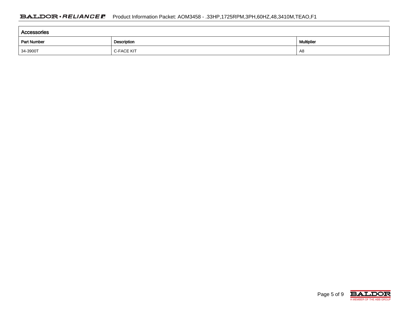| Accessories        |                   |    |  |  |  |  |  |
|--------------------|-------------------|----|--|--|--|--|--|
| <b>Part Number</b> | Description       |    |  |  |  |  |  |
| 34-3900T           | <b>C-FACE KIT</b> | A8 |  |  |  |  |  |

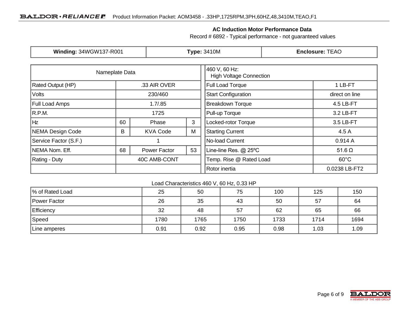### **AC Induction Motor Performance Data**

Record # 6892 - Typical performance - not guaranteed values

| <b>Winding: 34WGW137-R001</b> |                           |              | <b>Type: 3410M</b>                              | <b>Enclosure: TEAO</b>     |                |  |
|-------------------------------|---------------------------|--------------|-------------------------------------------------|----------------------------|----------------|--|
| Nameplate Data                |                           |              | 460 V, 60 Hz:<br><b>High Voltage Connection</b> |                            |                |  |
| <b>Rated Output (HP)</b>      |                           | .33 AIR OVER |                                                 | Full Load Torque           | 1 LB-FT        |  |
| Volts                         | 230/460                   |              |                                                 | <b>Start Configuration</b> | direct on line |  |
| <b>Full Load Amps</b>         | 1.7/0.85                  |              |                                                 | <b>Breakdown Torque</b>    | 4.5 LB-FT      |  |
| R.P.M.                        |                           | 1725         |                                                 | Pull-up Torque             | 3.2 LB-FT      |  |
| <b>Hz</b>                     | 60                        | Phase        | 3                                               | Locked-rotor Torque        | 3.5 LB-FT      |  |
| NEMA Design Code              | B<br><b>KVA Code</b><br>М |              | <b>Starting Current</b>                         | 4.5 A                      |                |  |
| Service Factor (S.F.)         |                           |              |                                                 | No-load Current            | 0.914A         |  |
| NEMA Nom. Eff.<br>68          |                           | Power Factor | 53                                              | Line-line Res. @ 25°C      | $51.6 \Omega$  |  |
| <b>Rating - Duty</b>          | 40C AMB-CONT              |              |                                                 | Temp. Rise @ Rated Load    | $60^{\circ}$ C |  |
|                               |                           |              |                                                 | Rotor inertia              | 0.0238 LB-FT2  |  |

Load Characteristics 460 V, 60 Hz, 0.33 HP

| % of Rated Load | 25   | 50   | 75   | 100  | 125  | 150  |
|-----------------|------|------|------|------|------|------|
| Power Factor    | 26   | 35   | 43   | 50   | 57   | 64   |
| Efficiency      | 32   | 48   | 57   | 62   | 65   | 66   |
| Speed           | 1780 | 1765 | 1750 | 1733 | 1714 | 1694 |
| Line amperes    | 0.91 | 0.92 | 0.95 | 0.98 | 1.03 | 1.09 |

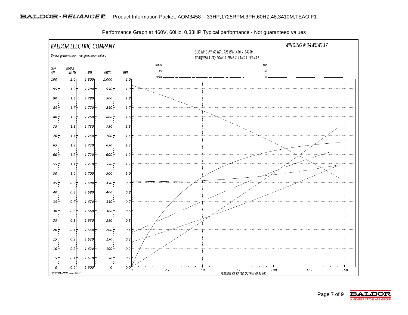

Performance Graph at 460V, 60Hz, 0.33HP Typical performance - Not guaranteed values

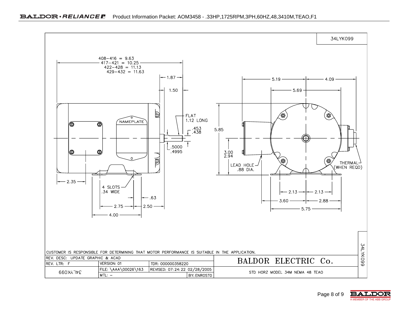